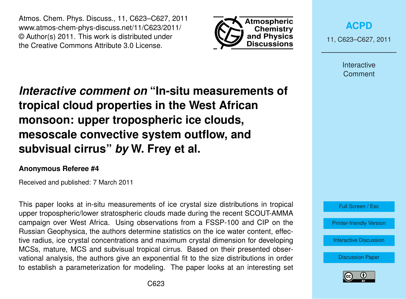Atmos. Chem. Phys. Discuss., 11, C623–C627, 2011 www.atmos-chem-phys-discuss.net/11/C623/2011/ © Author(s) 2011. This work is distributed under the Creative Commons Attribute 3.0 License.



**[ACPD](http://www.atmos-chem-phys-discuss.net)**

11, C623–C627, 2011

Interactive **Comment** 

*Interactive comment on* **"In-situ measurements of tropical cloud properties in the West African monsoon: upper tropospheric ice clouds, mesoscale convective system outflow, and subvisual cirrus"** *by* **W. Frey et al.**

#### **Anonymous Referee #4**

Received and published: 7 March 2011

This paper looks at in-situ measurements of ice crystal size distributions in tropical upper tropospheric/lower stratospheric clouds made during the recent SCOUT-AMMA campaign over West Africa. Using observations from a FSSP-100 and CIP on the Russian Geophysica, the authors determine statistics on the ice water content, effective radius, ice crystal concentrations and maximum crystal dimension for developing MCSs, mature, MCS and subvisual tropical cirrus. Based on their presented observational analysis, the authors give an exponential fit to the size distributions in order to establish a parameterization for modeling. The paper looks at an interesting set



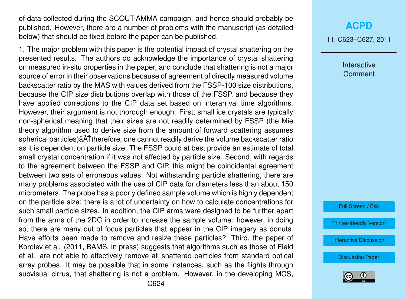of data collected during the SCOUT-AMMA campaign, and hence should probably be published. However, there are a number of problems with the manuscript (as detailed below) that should be fixed before the paper can be published.

1. The major problem with this paper is the potential impact of crystal shattering on the presented results. The authors do acknowledge the importance of crystal shattering on measured in-situ properties in the paper, and conclude that shattering is not a major source of error in their observations because of agreement of directly measured volume backscatter ratio by the MAS with values derived from the FSSP-100 size distributions, because the CIP size distributions overlap with those of the FSSP, and because they have applied corrections to the CIP data set based on interarrival time algorithms. However, their argument is not thorough enough. First, small ice crystals are typically non-spherical meaning that their sizes are not readily determined by FSSP (the Mie theory algorithm used to derive size from the amount of forward scattering assumes spherical particles)  $\tilde{A}$ Ttherefore, one cannot readily derive the volume backscatter ratio as it is dependent on particle size. The FSSP could at best provide an estimate of total small crystal concentration if it was not affected by particle size. Second, with regards to the agreement between the FSSP and CIP, this might be coincidental agreement between two sets of erroneous values. Not withstanding particle shattering, there are many problems associated with the use of CIP data for diameters less than about 150 micrometers. The probe has a poorly defined sample volume which is highly dependent on the particle size: there is a lot of uncertainty on how to calculate concentrations for such small particle sizes. In addition, the CIP arms were designed to be further apart from the arms of the 2DC in order to increase the sample volume: however, in doing so, there are many out of focus particles that appear in the CIP imagery as donuts. Have efforts been made to remove and resize these particles? Third, the paper of Korolev et al. (2011, BAMS, in press) suggests that algorithms such as those of Field et al. are not able to effectively remove all shattered particles from standard optical array probes. It may be possible that in some instances, such as the flights through subvisual cirrus, that shattering is not a problem. However, in the developing MCS,

# **[ACPD](http://www.atmos-chem-phys-discuss.net)**

11, C623–C627, 2011

Interactive **Comment** 

Full Screen / Esc

[Printer-friendly Version](http://www.atmos-chem-phys-discuss.net/11/C623/2011/acpd-11-C623-2011-print.pdf)

[Interactive Discussion](http://www.atmos-chem-phys-discuss.net/11/745/2011/acpd-11-745-2011-discussion.html)

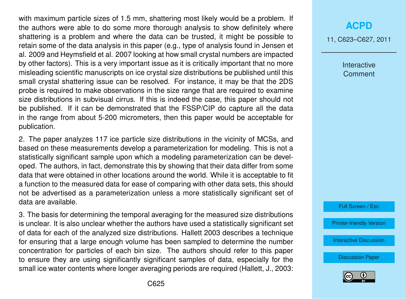with maximum particle sizes of 1.5 mm, shattering most likely would be a problem. If the authors were able to do some more thorough analysis to show definitely where shattering is a problem and where the data can be trusted, it might be possible to retain some of the data analysis in this paper (e.g., type of analysis found in Jensen et al. 2009 and Heymsfield et al. 2007 looking at how small crystal numbers are impacted by other factors). This is a very important issue as it is critically important that no more misleading scientific manuscripts on ice crystal size distributions be published until this small crystal shattering issue can be resolved. For instance, it may be that the 2DS probe is required to make observations in the size range that are required to examine size distributions in subvisual cirrus. If this is indeed the case, this paper should not be published. If it can be demonstrated that the FSSP/CIP do capture all the data in the range from about 5-200 micrometers, then this paper would be acceptable for publication.

2. The paper analyzes 117 ice particle size distributions in the vicinity of MCSs, and based on these measurements develop a parameterization for modeling. This is not a statistically significant sample upon which a modeling parameterization can be developed. The authors, in fact, demonstrate this by showing that their data differ from some data that were obtained in other locations around the world. While it is acceptable to fit a function to the measured data for ease of comparing with other data sets, this should not be advertised as a parameterization unless a more statistically significant set of data are available.

3. The basis for determining the temporal averaging for the measured size distributions is unclear. It is also unclear whether the authors have used a statistically significant set of data for each of the analyzed size distributions. Hallett 2003 describes a technique for ensuring that a large enough volume has been sampled to determine the number concentration for particles of each bin size. The authors should refer to this paper to ensure they are using significantly significant samples of data, especially for the small ice water contents where longer averaging periods are required (Hallett, J., 2003:

### **[ACPD](http://www.atmos-chem-phys-discuss.net)**

11, C623–C627, 2011

Interactive **Comment** 



[Printer-friendly Version](http://www.atmos-chem-phys-discuss.net/11/C623/2011/acpd-11-C623-2011-print.pdf)

[Interactive Discussion](http://www.atmos-chem-phys-discuss.net/11/745/2011/acpd-11-745-2011-discussion.html)

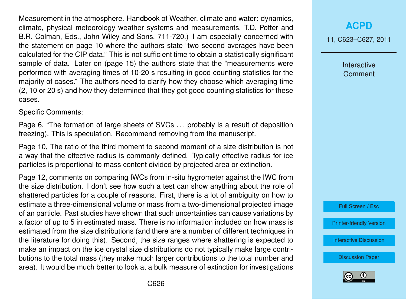Measurement in the atmosphere. Handbook of Weather, climate and water: dynamics, climate, physical meteorology weather systems and measurements, T.D. Potter and B.R. Colman, Eds., John Wiley and Sons, 711-720.) I am especially concerned with the statement on page 10 where the authors state "two second averages have been calculated for the CIP data." This is not sufficient time to obtain a statistically significant sample of data. Later on (page 15) the authors state that the "measurements were performed with averaging times of 10-20 s resulting in good counting statistics for the majority of cases." The authors need to clarify how they choose which averaging time (2, 10 or 20 s) and how they determined that they got good counting statistics for these cases.

Specific Comments:

Page 6, "The formation of large sheets of SVCs . . . probably is a result of deposition freezing). This is speculation. Recommend removing from the manuscript.

Page 10, The ratio of the third moment to second moment of a size distribution is not a way that the effective radius is commonly defined. Typically effective radius for ice particles is proportional to mass content divided by projected area or extinction.

Page 12, comments on comparing IWCs from in-situ hygrometer against the IWC from the size distribution. I don't see how such a test can show anything about the role of shattered particles for a couple of reasons. First, there is a lot of ambiguity on how to estimate a three-dimensional volume or mass from a two-dimensional projected image of an particle. Past studies have shown that such uncertainties can cause variations by a factor of up to 5 in estimated mass. There is no information included on how mass is estimated from the size distributions (and there are a number of different techniques in the literature for doing this). Second, the size ranges where shattering is expected to make an impact on the ice crystal size distributions do not typically make large contributions to the total mass (they make much larger contributions to the total number and area). It would be much better to look at a bulk measure of extinction for investigations

# **[ACPD](http://www.atmos-chem-phys-discuss.net)**

11, C623–C627, 2011

Interactive **Comment** 



[Printer-friendly Version](http://www.atmos-chem-phys-discuss.net/11/C623/2011/acpd-11-C623-2011-print.pdf)

[Interactive Discussion](http://www.atmos-chem-phys-discuss.net/11/745/2011/acpd-11-745-2011-discussion.html)